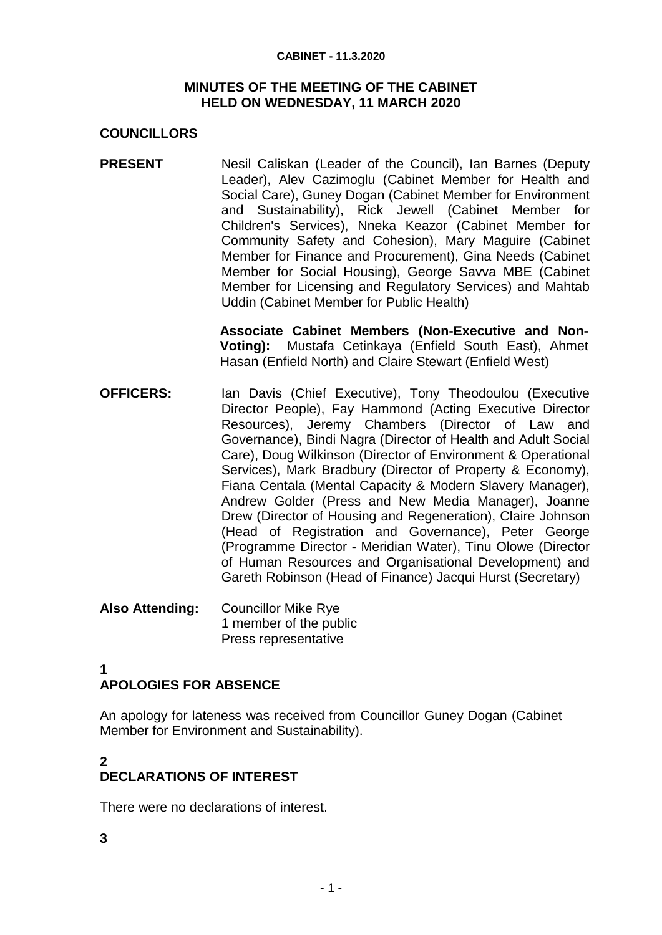#### **CABINET - 11.3.2020**

#### **MINUTES OF THE MEETING OF THE CABINET HELD ON WEDNESDAY, 11 MARCH 2020**

## **COUNCILLORS**

**PRESENT** Nesil Caliskan (Leader of the Council), Ian Barnes (Deputy Leader), Alev Cazimoglu (Cabinet Member for Health and Social Care), Guney Dogan (Cabinet Member for Environment and Sustainability), Rick Jewell (Cabinet Member for Children's Services), Nneka Keazor (Cabinet Member for Community Safety and Cohesion), Mary Maguire (Cabinet Member for Finance and Procurement), Gina Needs (Cabinet Member for Social Housing), George Savva MBE (Cabinet Member for Licensing and Regulatory Services) and Mahtab Uddin (Cabinet Member for Public Health)

> **Associate Cabinet Members (Non-Executive and Non-Voting):** Mustafa Cetinkaya (Enfield South East), Ahmet Hasan (Enfield North) and Claire Stewart (Enfield West)

- **OFFICERS:** Ian Davis (Chief Executive), Tony Theodoulou (Executive Director People), Fay Hammond (Acting Executive Director Resources), Jeremy Chambers (Director of Law and Governance), Bindi Nagra (Director of Health and Adult Social Care), Doug Wilkinson (Director of Environment & Operational Services), Mark Bradbury (Director of Property & Economy), Fiana Centala (Mental Capacity & Modern Slavery Manager), Andrew Golder (Press and New Media Manager), Joanne Drew (Director of Housing and Regeneration), Claire Johnson (Head of Registration and Governance), Peter George (Programme Director - Meridian Water), Tinu Olowe (Director of Human Resources and Organisational Development) and Gareth Robinson (Head of Finance) Jacqui Hurst (Secretary)
- **Also Attending:** Councillor Mike Rye 1 member of the public Press representative
- **1**

# **APOLOGIES FOR ABSENCE**

An apology for lateness was received from Councillor Guney Dogan (Cabinet Member for Environment and Sustainability).

## **2 DECLARATIONS OF INTEREST**

There were no declarations of interest.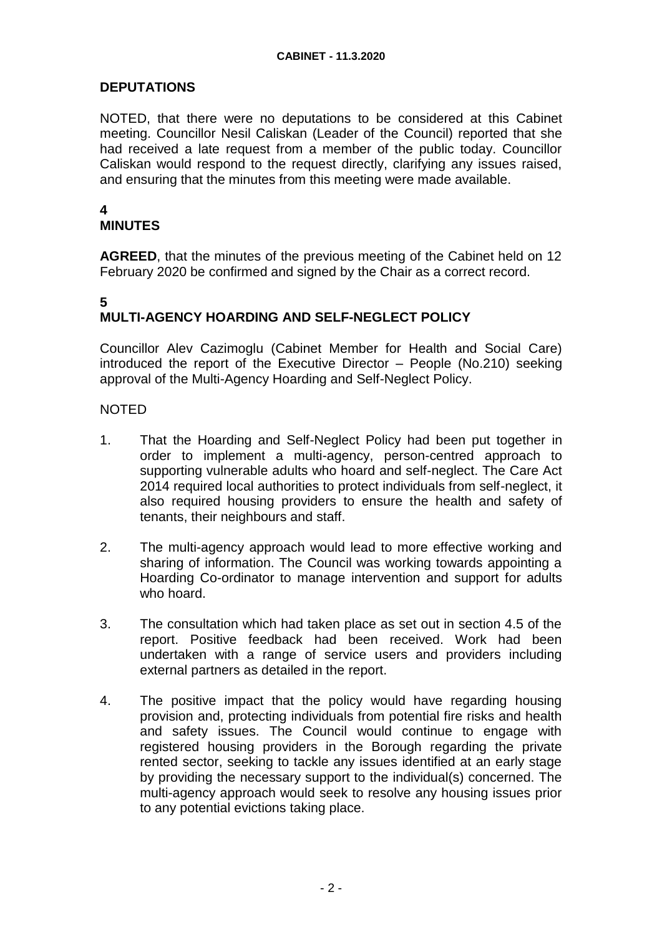## **DEPUTATIONS**

NOTED, that there were no deputations to be considered at this Cabinet meeting. Councillor Nesil Caliskan (Leader of the Council) reported that she had received a late request from a member of the public today. Councillor Caliskan would respond to the request directly, clarifying any issues raised, and ensuring that the minutes from this meeting were made available.

#### **4 MINUTES**

**AGREED**, that the minutes of the previous meeting of the Cabinet held on 12 February 2020 be confirmed and signed by the Chair as a correct record.

### **5 MULTI-AGENCY HOARDING AND SELF-NEGLECT POLICY**

Councillor Alev Cazimoglu (Cabinet Member for Health and Social Care) introduced the report of the Executive Director – People (No.210) seeking approval of the Multi-Agency Hoarding and Self-Neglect Policy.

- 1. That the Hoarding and Self-Neglect Policy had been put together in order to implement a multi-agency, person-centred approach to supporting vulnerable adults who hoard and self-neglect. The Care Act 2014 required local authorities to protect individuals from self-neglect, it also required housing providers to ensure the health and safety of tenants, their neighbours and staff.
- 2. The multi-agency approach would lead to more effective working and sharing of information. The Council was working towards appointing a Hoarding Co-ordinator to manage intervention and support for adults who hoard.
- 3. The consultation which had taken place as set out in section 4.5 of the report. Positive feedback had been received. Work had been undertaken with a range of service users and providers including external partners as detailed in the report.
- 4. The positive impact that the policy would have regarding housing provision and, protecting individuals from potential fire risks and health and safety issues. The Council would continue to engage with registered housing providers in the Borough regarding the private rented sector, seeking to tackle any issues identified at an early stage by providing the necessary support to the individual(s) concerned. The multi-agency approach would seek to resolve any housing issues prior to any potential evictions taking place.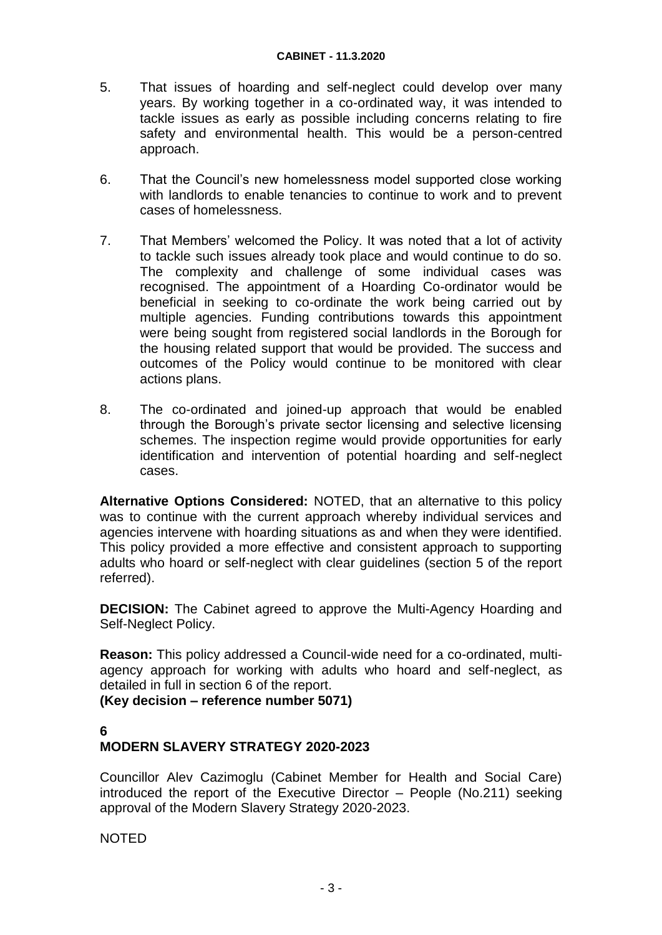- 5. That issues of hoarding and self-neglect could develop over many years. By working together in a co-ordinated way, it was intended to tackle issues as early as possible including concerns relating to fire safety and environmental health. This would be a person-centred approach.
- 6. That the Council's new homelessness model supported close working with landlords to enable tenancies to continue to work and to prevent cases of homelessness.
- 7. That Members' welcomed the Policy. It was noted that a lot of activity to tackle such issues already took place and would continue to do so. The complexity and challenge of some individual cases was recognised. The appointment of a Hoarding Co-ordinator would be beneficial in seeking to co-ordinate the work being carried out by multiple agencies. Funding contributions towards this appointment were being sought from registered social landlords in the Borough for the housing related support that would be provided. The success and outcomes of the Policy would continue to be monitored with clear actions plans.
- 8. The co-ordinated and joined-up approach that would be enabled through the Borough's private sector licensing and selective licensing schemes. The inspection regime would provide opportunities for early identification and intervention of potential hoarding and self-neglect cases.

**Alternative Options Considered:** NOTED, that an alternative to this policy was to continue with the current approach whereby individual services and agencies intervene with hoarding situations as and when they were identified. This policy provided a more effective and consistent approach to supporting adults who hoard or self-neglect with clear guidelines (section 5 of the report referred).

**DECISION:** The Cabinet agreed to approve the Multi-Agency Hoarding and Self-Neglect Policy.

**Reason:** This policy addressed a Council-wide need for a co-ordinated, multiagency approach for working with adults who hoard and self-neglect, as detailed in full in section 6 of the report.

**(Key decision – reference number 5071)**

## **6 MODERN SLAVERY STRATEGY 2020-2023**

Councillor Alev Cazimoglu (Cabinet Member for Health and Social Care) introduced the report of the Executive Director – People (No.211) seeking approval of the Modern Slavery Strategy 2020-2023.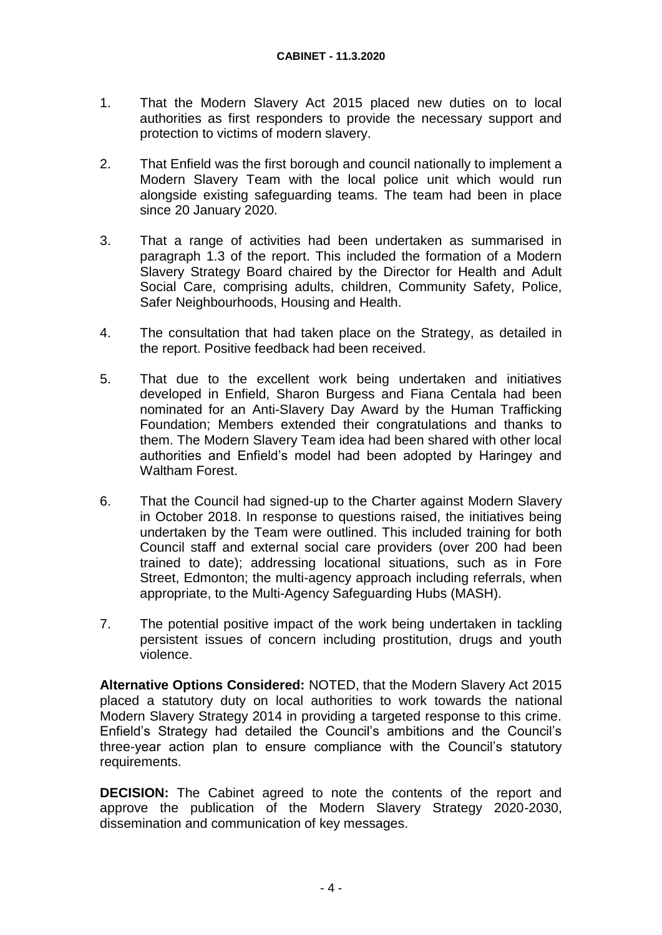- 1. That the Modern Slavery Act 2015 placed new duties on to local authorities as first responders to provide the necessary support and protection to victims of modern slavery.
- 2. That Enfield was the first borough and council nationally to implement a Modern Slavery Team with the local police unit which would run alongside existing safeguarding teams. The team had been in place since 20 January 2020.
- 3. That a range of activities had been undertaken as summarised in paragraph 1.3 of the report. This included the formation of a Modern Slavery Strategy Board chaired by the Director for Health and Adult Social Care, comprising adults, children, Community Safety, Police, Safer Neighbourhoods, Housing and Health.
- 4. The consultation that had taken place on the Strategy, as detailed in the report. Positive feedback had been received.
- 5. That due to the excellent work being undertaken and initiatives developed in Enfield, Sharon Burgess and Fiana Centala had been nominated for an Anti-Slavery Day Award by the Human Trafficking Foundation; Members extended their congratulations and thanks to them. The Modern Slavery Team idea had been shared with other local authorities and Enfield's model had been adopted by Haringey and Waltham Forest.
- 6. That the Council had signed-up to the Charter against Modern Slavery in October 2018. In response to questions raised, the initiatives being undertaken by the Team were outlined. This included training for both Council staff and external social care providers (over 200 had been trained to date); addressing locational situations, such as in Fore Street, Edmonton; the multi-agency approach including referrals, when appropriate, to the Multi-Agency Safeguarding Hubs (MASH).
- 7. The potential positive impact of the work being undertaken in tackling persistent issues of concern including prostitution, drugs and youth violence.

**Alternative Options Considered:** NOTED, that the Modern Slavery Act 2015 placed a statutory duty on local authorities to work towards the national Modern Slavery Strategy 2014 in providing a targeted response to this crime. Enfield's Strategy had detailed the Council's ambitions and the Council's three-year action plan to ensure compliance with the Council's statutory requirements.

**DECISION:** The Cabinet agreed to note the contents of the report and approve the publication of the Modern Slavery Strategy 2020-2030, dissemination and communication of key messages.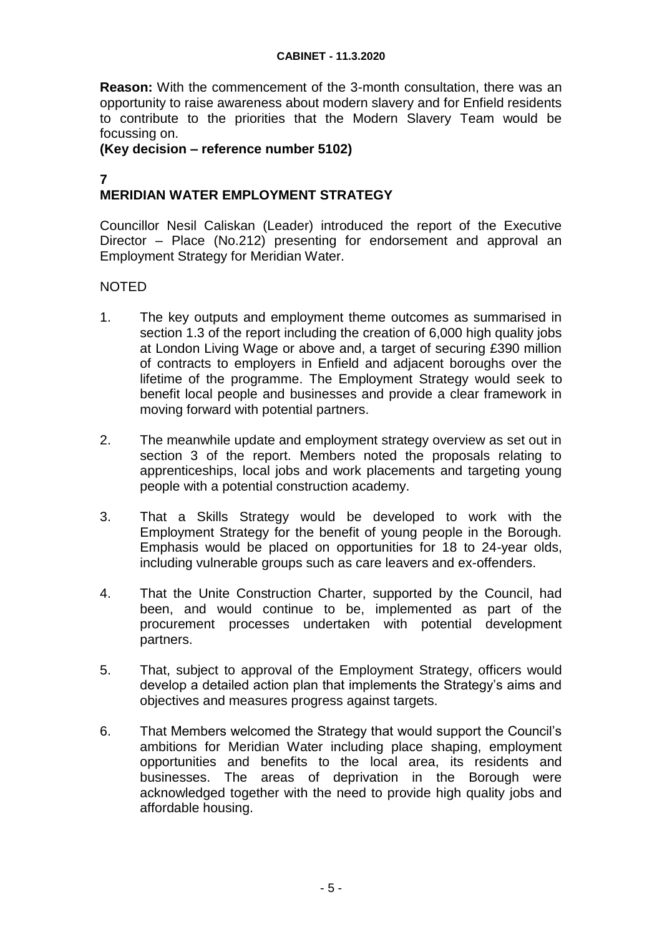**Reason:** With the commencement of the 3-month consultation, there was an opportunity to raise awareness about modern slavery and for Enfield residents to contribute to the priorities that the Modern Slavery Team would be focussing on.

### **(Key decision – reference number 5102)**

### **7**

## **MERIDIAN WATER EMPLOYMENT STRATEGY**

Councillor Nesil Caliskan (Leader) introduced the report of the Executive Director – Place (No.212) presenting for endorsement and approval an Employment Strategy for Meridian Water.

- 1. The key outputs and employment theme outcomes as summarised in section 1.3 of the report including the creation of 6,000 high quality jobs at London Living Wage or above and, a target of securing £390 million of contracts to employers in Enfield and adjacent boroughs over the lifetime of the programme. The Employment Strategy would seek to benefit local people and businesses and provide a clear framework in moving forward with potential partners.
- 2. The meanwhile update and employment strategy overview as set out in section 3 of the report. Members noted the proposals relating to apprenticeships, local jobs and work placements and targeting young people with a potential construction academy.
- 3. That a Skills Strategy would be developed to work with the Employment Strategy for the benefit of young people in the Borough. Emphasis would be placed on opportunities for 18 to 24-year olds, including vulnerable groups such as care leavers and ex-offenders.
- 4. That the Unite Construction Charter, supported by the Council, had been, and would continue to be, implemented as part of the procurement processes undertaken with potential development partners.
- 5. That, subject to approval of the Employment Strategy, officers would develop a detailed action plan that implements the Strategy's aims and objectives and measures progress against targets.
- 6. That Members welcomed the Strategy that would support the Council's ambitions for Meridian Water including place shaping, employment opportunities and benefits to the local area, its residents and businesses. The areas of deprivation in the Borough were acknowledged together with the need to provide high quality jobs and affordable housing.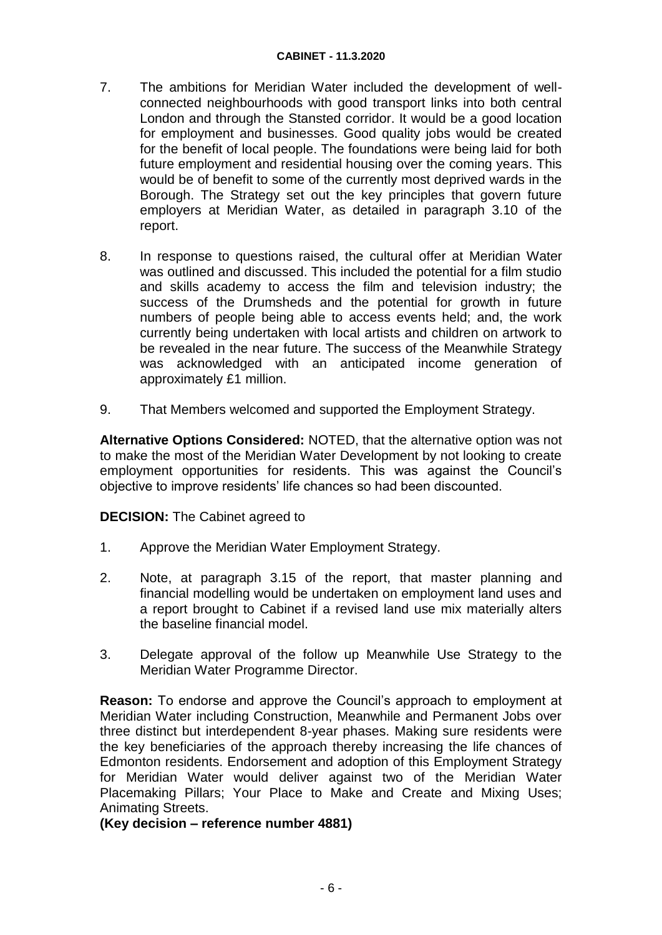#### **CABINET - 11.3.2020**

- 7. The ambitions for Meridian Water included the development of wellconnected neighbourhoods with good transport links into both central London and through the Stansted corridor. It would be a good location for employment and businesses. Good quality jobs would be created for the benefit of local people. The foundations were being laid for both future employment and residential housing over the coming years. This would be of benefit to some of the currently most deprived wards in the Borough. The Strategy set out the key principles that govern future employers at Meridian Water, as detailed in paragraph 3.10 of the report.
- 8. In response to questions raised, the cultural offer at Meridian Water was outlined and discussed. This included the potential for a film studio and skills academy to access the film and television industry; the success of the Drumsheds and the potential for growth in future numbers of people being able to access events held; and, the work currently being undertaken with local artists and children on artwork to be revealed in the near future. The success of the Meanwhile Strategy was acknowledged with an anticipated income generation of approximately £1 million.
- 9. That Members welcomed and supported the Employment Strategy.

**Alternative Options Considered:** NOTED, that the alternative option was not to make the most of the Meridian Water Development by not looking to create employment opportunities for residents. This was against the Council's objective to improve residents' life chances so had been discounted.

**DECISION:** The Cabinet agreed to

- 1. Approve the Meridian Water Employment Strategy.
- 2. Note, at paragraph 3.15 of the report, that master planning and financial modelling would be undertaken on employment land uses and a report brought to Cabinet if a revised land use mix materially alters the baseline financial model.
- 3. Delegate approval of the follow up Meanwhile Use Strategy to the Meridian Water Programme Director.

**Reason:** To endorse and approve the Council's approach to employment at Meridian Water including Construction, Meanwhile and Permanent Jobs over three distinct but interdependent 8-year phases. Making sure residents were the key beneficiaries of the approach thereby increasing the life chances of Edmonton residents. Endorsement and adoption of this Employment Strategy for Meridian Water would deliver against two of the Meridian Water Placemaking Pillars; Your Place to Make and Create and Mixing Uses; Animating Streets.

**(Key decision – reference number 4881)**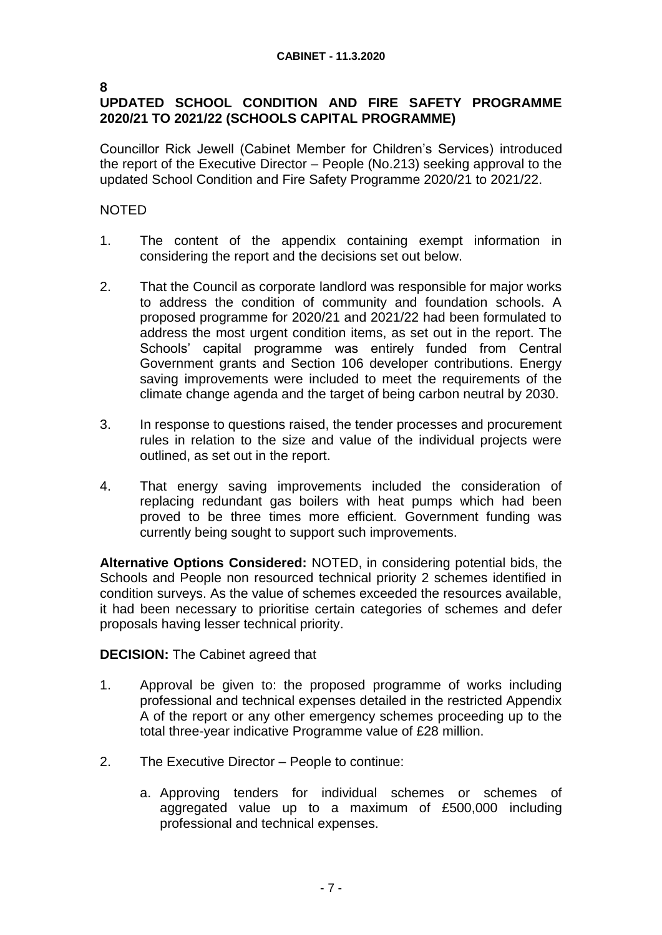#### **8**

## **UPDATED SCHOOL CONDITION AND FIRE SAFETY PROGRAMME 2020/21 TO 2021/22 (SCHOOLS CAPITAL PROGRAMME)**

Councillor Rick Jewell (Cabinet Member for Children's Services) introduced the report of the Executive Director – People (No.213) seeking approval to the updated School Condition and Fire Safety Programme 2020/21 to 2021/22.

## NOTED

- 1. The content of the appendix containing exempt information in considering the report and the decisions set out below.
- 2. That the Council as corporate landlord was responsible for major works to address the condition of community and foundation schools. A proposed programme for 2020/21 and 2021/22 had been formulated to address the most urgent condition items, as set out in the report. The Schools' capital programme was entirely funded from Central Government grants and Section 106 developer contributions. Energy saving improvements were included to meet the requirements of the climate change agenda and the target of being carbon neutral by 2030.
- 3. In response to questions raised, the tender processes and procurement rules in relation to the size and value of the individual projects were outlined, as set out in the report.
- 4. That energy saving improvements included the consideration of replacing redundant gas boilers with heat pumps which had been proved to be three times more efficient. Government funding was currently being sought to support such improvements.

**Alternative Options Considered:** NOTED, in considering potential bids, the Schools and People non resourced technical priority 2 schemes identified in condition surveys. As the value of schemes exceeded the resources available, it had been necessary to prioritise certain categories of schemes and defer proposals having lesser technical priority.

### **DECISION:** The Cabinet agreed that

- 1. Approval be given to: the proposed programme of works including professional and technical expenses detailed in the restricted Appendix A of the report or any other emergency schemes proceeding up to the total three-year indicative Programme value of £28 million.
- 2. The Executive Director People to continue:
	- a. Approving tenders for individual schemes or schemes of aggregated value up to a maximum of £500,000 including professional and technical expenses.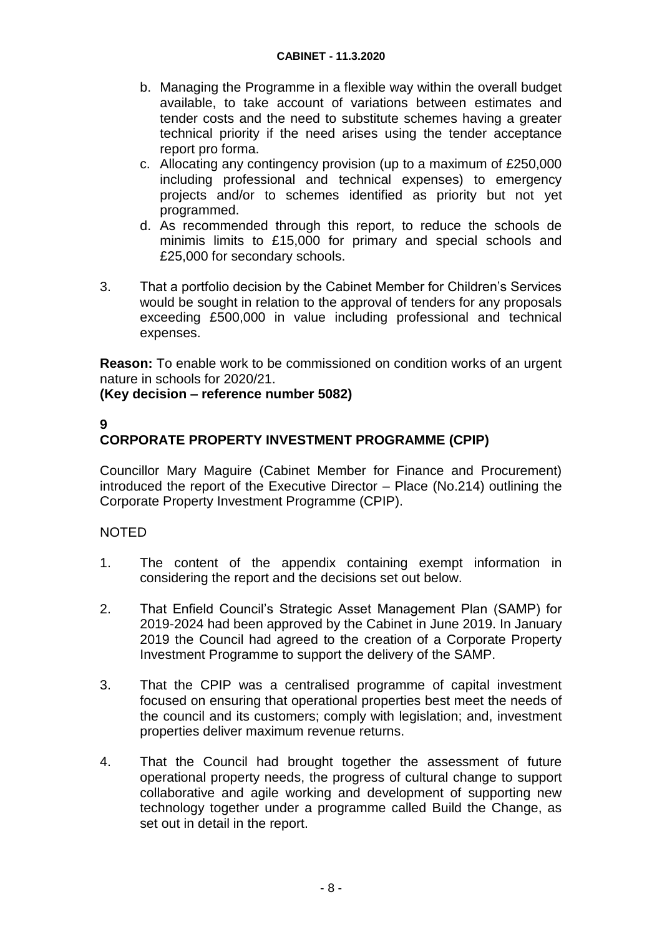- b. Managing the Programme in a flexible way within the overall budget available, to take account of variations between estimates and tender costs and the need to substitute schemes having a greater technical priority if the need arises using the tender acceptance report pro forma.
- c. Allocating any contingency provision (up to a maximum of £250,000 including professional and technical expenses) to emergency projects and/or to schemes identified as priority but not yet programmed.
- d. As recommended through this report, to reduce the schools de minimis limits to £15,000 for primary and special schools and £25,000 for secondary schools.
- 3. That a portfolio decision by the Cabinet Member for Children's Services would be sought in relation to the approval of tenders for any proposals exceeding £500,000 in value including professional and technical expenses.

**Reason:** To enable work to be commissioned on condition works of an urgent nature in schools for 2020/21.

## **(Key decision – reference number 5082)**

## **9**

# **CORPORATE PROPERTY INVESTMENT PROGRAMME (CPIP)**

Councillor Mary Maguire (Cabinet Member for Finance and Procurement) introduced the report of the Executive Director – Place (No.214) outlining the Corporate Property Investment Programme (CPIP).

- 1. The content of the appendix containing exempt information in considering the report and the decisions set out below.
- 2. That Enfield Council's Strategic Asset Management Plan (SAMP) for 2019-2024 had been approved by the Cabinet in June 2019. In January 2019 the Council had agreed to the creation of a Corporate Property Investment Programme to support the delivery of the SAMP.
- 3. That the CPIP was a centralised programme of capital investment focused on ensuring that operational properties best meet the needs of the council and its customers; comply with legislation; and, investment properties deliver maximum revenue returns.
- 4. That the Council had brought together the assessment of future operational property needs, the progress of cultural change to support collaborative and agile working and development of supporting new technology together under a programme called Build the Change, as set out in detail in the report.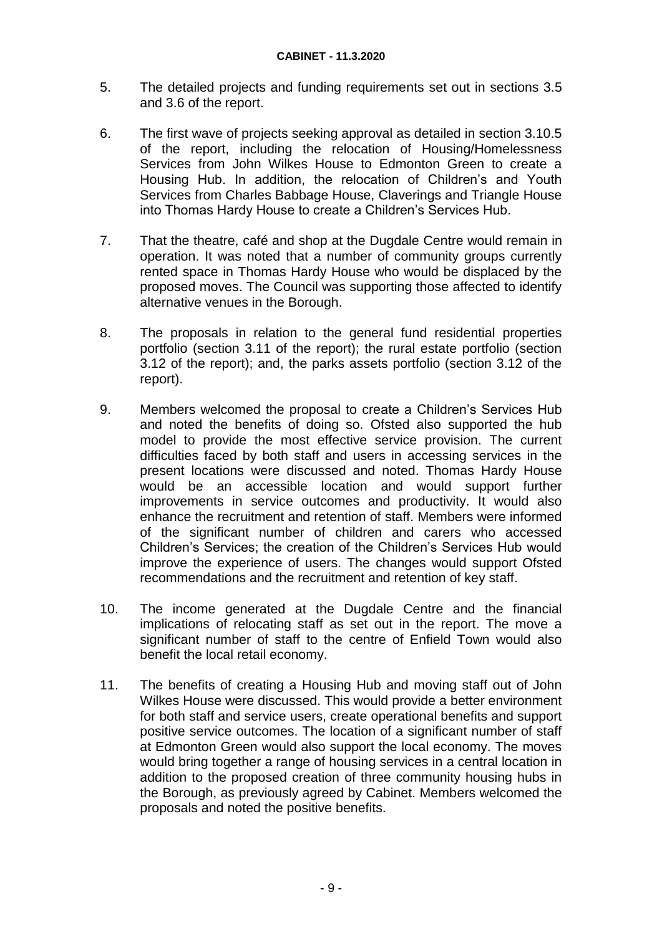- 5. The detailed projects and funding requirements set out in sections 3.5 and 3.6 of the report.
- 6. The first wave of projects seeking approval as detailed in section 3.10.5 of the report, including the relocation of Housing/Homelessness Services from John Wilkes House to Edmonton Green to create a Housing Hub. In addition, the relocation of Children's and Youth Services from Charles Babbage House, Claverings and Triangle House into Thomas Hardy House to create a Children's Services Hub.
- 7. That the theatre, café and shop at the Dugdale Centre would remain in operation. It was noted that a number of community groups currently rented space in Thomas Hardy House who would be displaced by the proposed moves. The Council was supporting those affected to identify alternative venues in the Borough.
- 8. The proposals in relation to the general fund residential properties portfolio (section 3.11 of the report); the rural estate portfolio (section 3.12 of the report); and, the parks assets portfolio (section 3.12 of the report).
- 9. Members welcomed the proposal to create a Children's Services Hub and noted the benefits of doing so. Ofsted also supported the hub model to provide the most effective service provision. The current difficulties faced by both staff and users in accessing services in the present locations were discussed and noted. Thomas Hardy House would be an accessible location and would support further improvements in service outcomes and productivity. It would also enhance the recruitment and retention of staff. Members were informed of the significant number of children and carers who accessed Children's Services; the creation of the Children's Services Hub would improve the experience of users. The changes would support Ofsted recommendations and the recruitment and retention of key staff.
- 10. The income generated at the Dugdale Centre and the financial implications of relocating staff as set out in the report. The move a significant number of staff to the centre of Enfield Town would also benefit the local retail economy.
- 11. The benefits of creating a Housing Hub and moving staff out of John Wilkes House were discussed. This would provide a better environment for both staff and service users, create operational benefits and support positive service outcomes. The location of a significant number of staff at Edmonton Green would also support the local economy. The moves would bring together a range of housing services in a central location in addition to the proposed creation of three community housing hubs in the Borough, as previously agreed by Cabinet. Members welcomed the proposals and noted the positive benefits.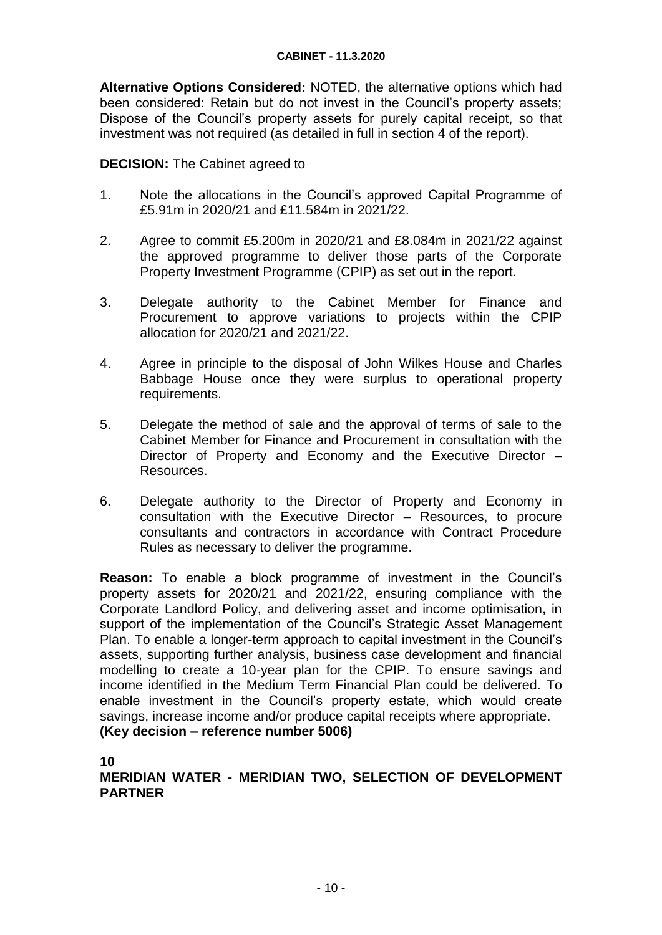**Alternative Options Considered:** NOTED, the alternative options which had been considered: Retain but do not invest in the Council's property assets; Dispose of the Council's property assets for purely capital receipt, so that investment was not required (as detailed in full in section 4 of the report).

### **DECISION:** The Cabinet agreed to

- 1. Note the allocations in the Council's approved Capital Programme of £5.91m in 2020/21 and £11.584m in 2021/22.
- 2. Agree to commit £5.200m in 2020/21 and £8.084m in 2021/22 against the approved programme to deliver those parts of the Corporate Property Investment Programme (CPIP) as set out in the report.
- 3. Delegate authority to the Cabinet Member for Finance and Procurement to approve variations to projects within the CPIP allocation for 2020/21 and 2021/22.
- 4. Agree in principle to the disposal of John Wilkes House and Charles Babbage House once they were surplus to operational property requirements.
- 5. Delegate the method of sale and the approval of terms of sale to the Cabinet Member for Finance and Procurement in consultation with the Director of Property and Economy and the Executive Director – Resources.
- 6. Delegate authority to the Director of Property and Economy in consultation with the Executive Director – Resources, to procure consultants and contractors in accordance with Contract Procedure Rules as necessary to deliver the programme.

**Reason:** To enable a block programme of investment in the Council's property assets for 2020/21 and 2021/22, ensuring compliance with the Corporate Landlord Policy, and delivering asset and income optimisation, in support of the implementation of the Council's Strategic Asset Management Plan. To enable a longer-term approach to capital investment in the Council's assets, supporting further analysis, business case development and financial modelling to create a 10-year plan for the CPIP. To ensure savings and income identified in the Medium Term Financial Plan could be delivered. To enable investment in the Council's property estate, which would create savings, increase income and/or produce capital receipts where appropriate. **(Key decision – reference number 5006)** 

**10**

## **MERIDIAN WATER - MERIDIAN TWO, SELECTION OF DEVELOPMENT PARTNER**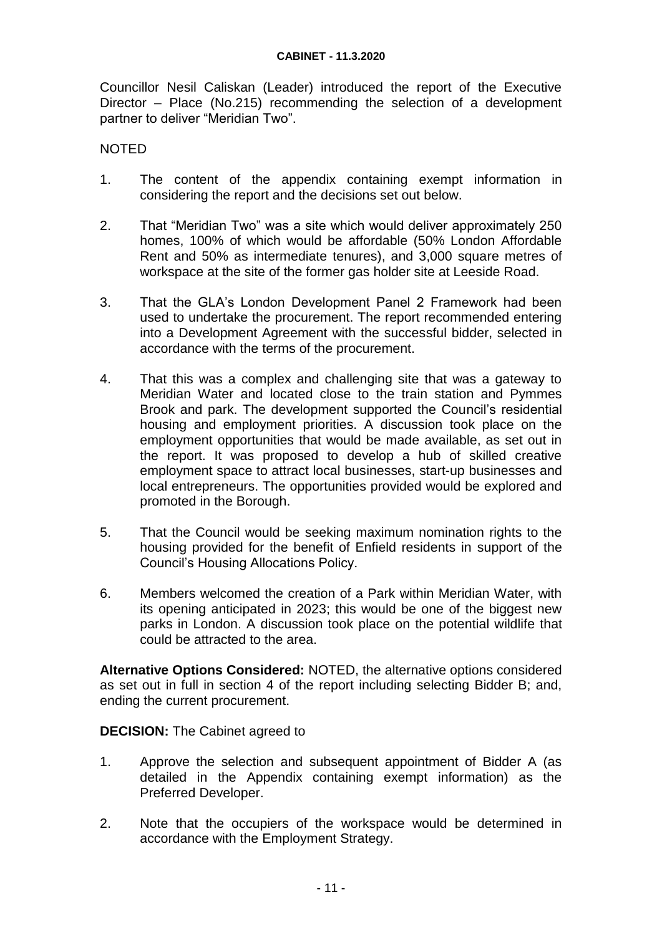Councillor Nesil Caliskan (Leader) introduced the report of the Executive Director – Place (No.215) recommending the selection of a development partner to deliver "Meridian Two".

### **NOTED**

- 1. The content of the appendix containing exempt information in considering the report and the decisions set out below.
- 2. That "Meridian Two" was a site which would deliver approximately 250 homes, 100% of which would be affordable (50% London Affordable Rent and 50% as intermediate tenures), and 3,000 square metres of workspace at the site of the former gas holder site at Leeside Road.
- 3. That the GLA's London Development Panel 2 Framework had been used to undertake the procurement. The report recommended entering into a Development Agreement with the successful bidder, selected in accordance with the terms of the procurement.
- 4. That this was a complex and challenging site that was a gateway to Meridian Water and located close to the train station and Pymmes Brook and park. The development supported the Council's residential housing and employment priorities. A discussion took place on the employment opportunities that would be made available, as set out in the report. It was proposed to develop a hub of skilled creative employment space to attract local businesses, start-up businesses and local entrepreneurs. The opportunities provided would be explored and promoted in the Borough.
- 5. That the Council would be seeking maximum nomination rights to the housing provided for the benefit of Enfield residents in support of the Council's Housing Allocations Policy.
- 6. Members welcomed the creation of a Park within Meridian Water, with its opening anticipated in 2023; this would be one of the biggest new parks in London. A discussion took place on the potential wildlife that could be attracted to the area.

**Alternative Options Considered:** NOTED, the alternative options considered as set out in full in section 4 of the report including selecting Bidder B; and, ending the current procurement.

### **DECISION:** The Cabinet agreed to

- 1. Approve the selection and subsequent appointment of Bidder A (as detailed in the Appendix containing exempt information) as the Preferred Developer.
- 2. Note that the occupiers of the workspace would be determined in accordance with the Employment Strategy.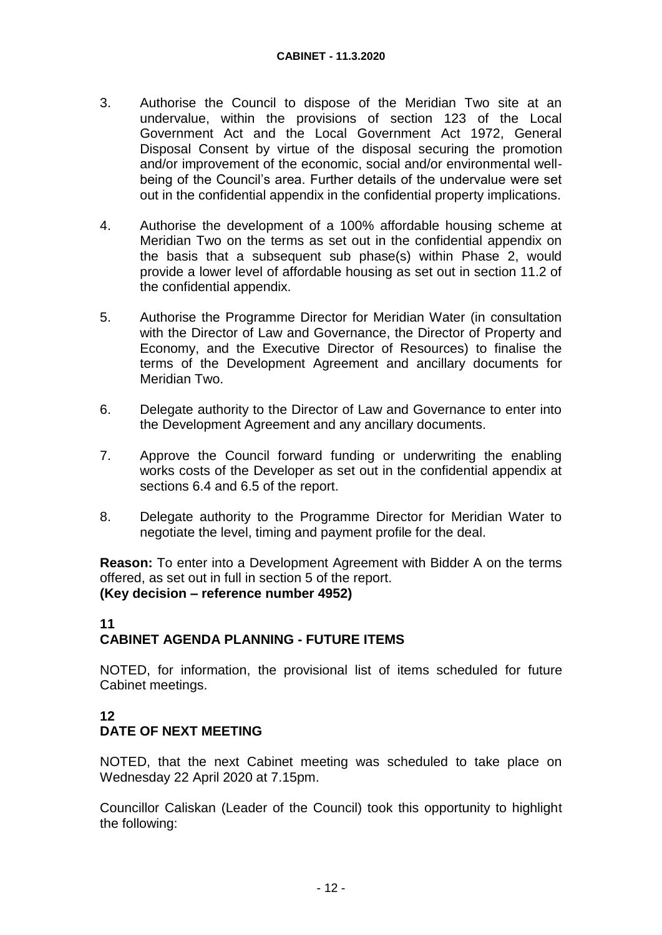- 3. Authorise the Council to dispose of the Meridian Two site at an undervalue, within the provisions of section 123 of the Local Government Act and the Local Government Act 1972, General Disposal Consent by virtue of the disposal securing the promotion and/or improvement of the economic, social and/or environmental wellbeing of the Council's area. Further details of the undervalue were set out in the confidential appendix in the confidential property implications.
- 4. Authorise the development of a 100% affordable housing scheme at Meridian Two on the terms as set out in the confidential appendix on the basis that a subsequent sub phase(s) within Phase 2, would provide a lower level of affordable housing as set out in section 11.2 of the confidential appendix.
- 5. Authorise the Programme Director for Meridian Water (in consultation with the Director of Law and Governance, the Director of Property and Economy, and the Executive Director of Resources) to finalise the terms of the Development Agreement and ancillary documents for Meridian Two.
- 6. Delegate authority to the Director of Law and Governance to enter into the Development Agreement and any ancillary documents.
- 7. Approve the Council forward funding or underwriting the enabling works costs of the Developer as set out in the confidential appendix at sections 6.4 and 6.5 of the report.
- 8. Delegate authority to the Programme Director for Meridian Water to negotiate the level, timing and payment profile for the deal.

**Reason:** To enter into a Development Agreement with Bidder A on the terms offered, as set out in full in section 5 of the report. **(Key decision – reference number 4952)**

## **11 CABINET AGENDA PLANNING - FUTURE ITEMS**

NOTED, for information, the provisional list of items scheduled for future Cabinet meetings.

## **12 DATE OF NEXT MEETING**

NOTED, that the next Cabinet meeting was scheduled to take place on Wednesday 22 April 2020 at 7.15pm.

Councillor Caliskan (Leader of the Council) took this opportunity to highlight the following: